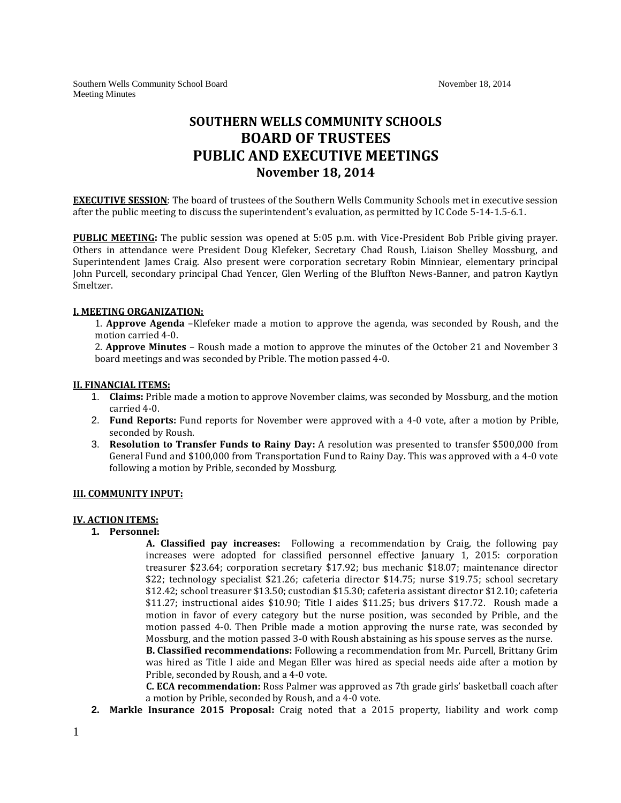# **SOUTHERN WELLS COMMUNITY SCHOOLS BOARD OF TRUSTEES PUBLIC AND EXECUTIVE MEETINGS November 18, 2014**

**EXECUTIVE SESSION**: The board of trustees of the Southern Wells Community Schools met in executive session after the public meeting to discuss the superintendent's evaluation, as permitted by IC Code 5-14-1.5-6.1.

**PUBLIC MEETING:** The public session was opened at 5:05 p.m. with Vice-President Bob Prible giving prayer. Others in attendance were President Doug Klefeker, Secretary Chad Roush, Liaison Shelley Mossburg, and Superintendent James Craig. Also present were corporation secretary Robin Minniear, elementary principal John Purcell, secondary principal Chad Yencer, Glen Werling of the Bluffton News-Banner, and patron Kaytlyn Smeltzer.

#### **I. MEETING ORGANIZATION:**

1. **Approve Agenda** –Klefeker made a motion to approve the agenda, was seconded by Roush, and the motion carried 4-0.

2. **Approve Minutes** – Roush made a motion to approve the minutes of the October 21 and November 3 board meetings and was seconded by Prible. The motion passed 4-0.

#### **II. FINANCIAL ITEMS:**

- 1. **Claims:** Prible made a motion to approve November claims, was seconded by Mossburg, and the motion carried 4-0.
- 2. **Fund Reports:** Fund reports for November were approved with a 4-0 vote, after a motion by Prible, seconded by Roush.
- 3. **Resolution to Transfer Funds to Rainy Day:** A resolution was presented to transfer \$500,000 from General Fund and \$100,000 from Transportation Fund to Rainy Day. This was approved with a 4-0 vote following a motion by Prible, seconded by Mossburg.

#### **III. COMMUNITY INPUT:**

### **IV. ACTION ITEMS:**

**1. Personnel:** 

**A. Classified pay increases:** Following a recommendation by Craig, the following pay increases were adopted for classified personnel effective January 1, 2015: corporation treasurer \$23.64; corporation secretary \$17.92; bus mechanic \$18.07; maintenance director \$22; technology specialist \$21.26; cafeteria director \$14.75; nurse \$19.75; school secretary \$12.42; school treasurer \$13.50; custodian \$15.30; cafeteria assistant director \$12.10; cafeteria \$11.27; instructional aides \$10.90; Title I aides \$11.25; bus drivers \$17.72. Roush made a motion in favor of every category but the nurse position, was seconded by Prible, and the motion passed 4-0. Then Prible made a motion approving the nurse rate, was seconded by Mossburg, and the motion passed 3-0 with Roush abstaining as his spouse serves as the nurse.

**B. Classified recommendations:** Following a recommendation from Mr. Purcell, Brittany Grim was hired as Title I aide and Megan Eller was hired as special needs aide after a motion by Prible, seconded by Roush, and a 4-0 vote.

**C. ECA recommendation:** Ross Palmer was approved as 7th grade girls' basketball coach after a motion by Prible, seconded by Roush, and a 4-0 vote.

**2. Markle Insurance 2015 Proposal:** Craig noted that a 2015 property, liability and work comp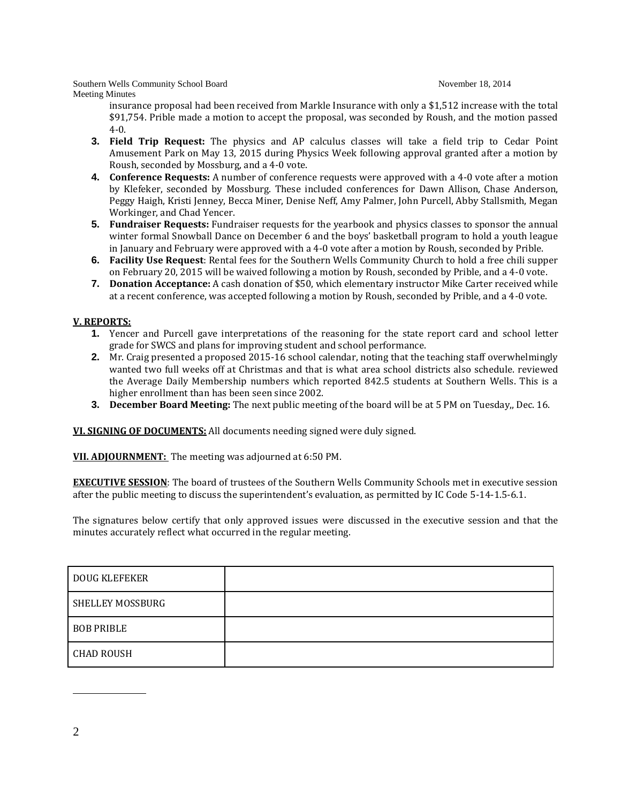Southern Wells Community School Board November 18, 2014 Meeting Minutes

insurance proposal had been received from Markle Insurance with only a \$1,512 increase with the total \$91,754. Prible made a motion to accept the proposal, was seconded by Roush, and the motion passed 4-0.

- **3. Field Trip Request:** The physics and AP calculus classes will take a field trip to Cedar Point Amusement Park on May 13, 2015 during Physics Week following approval granted after a motion by Roush, seconded by Mossburg, and a 4-0 vote.
- **4. Conference Requests:** A number of conference requests were approved with a 4-0 vote after a motion by Klefeker, seconded by Mossburg. These included conferences for Dawn Allison, Chase Anderson, Peggy Haigh, Kristi Jenney, Becca Miner, Denise Neff, Amy Palmer, John Purcell, Abby Stallsmith, Megan Workinger, and Chad Yencer.
- **5. Fundraiser Requests:** Fundraiser requests for the yearbook and physics classes to sponsor the annual winter formal Snowball Dance on December 6 and the boys' basketball program to hold a youth league in January and February were approved with a 4-0 vote after a motion by Roush, seconded by Prible.
- **6. Facility Use Request**: Rental fees for the Southern Wells Community Church to hold a free chili supper on February 20, 2015 will be waived following a motion by Roush, seconded by Prible, and a 4-0 vote.
- **7. Donation Acceptance:** A cash donation of \$50, which elementary instructor Mike Carter received while at a recent conference, was accepted following a motion by Roush, seconded by Prible, and a 4-0 vote.

## **V. REPORTS:**

- **1.** Yencer and Purcell gave interpretations of the reasoning for the state report card and school letter grade for SWCS and plans for improving student and school performance.
- **2.** Mr. Craig presented a proposed 2015-16 school calendar, noting that the teaching staff overwhelmingly wanted two full weeks off at Christmas and that is what area school districts also schedule. reviewed the Average Daily Membership numbers which reported 842.5 students at Southern Wells. This is a higher enrollment than has been seen since 2002.
- **3. December Board Meeting:** The next public meeting of the board will be at 5 PM on Tuesday,, Dec. 16.

**VI. SIGNING OF DOCUMENTS:** All documents needing signed were duly signed.

**VII. ADJOURNMENT:** The meeting was adjourned at 6:50 PM.

**EXECUTIVE SESSION**: The board of trustees of the Southern Wells Community Schools met in executive session after the public meeting to discuss the superintendent's evaluation, as permitted by IC Code 5-14-1.5-6.1.

The signatures below certify that only approved issues were discussed in the executive session and that the minutes accurately reflect what occurred in the regular meeting.

| <b>DOUG KLEFEKER</b> |  |
|----------------------|--|
| SHELLEY MOSSBURG     |  |
| <b>BOB PRIBLE</b>    |  |
| <b>CHAD ROUSH</b>    |  |